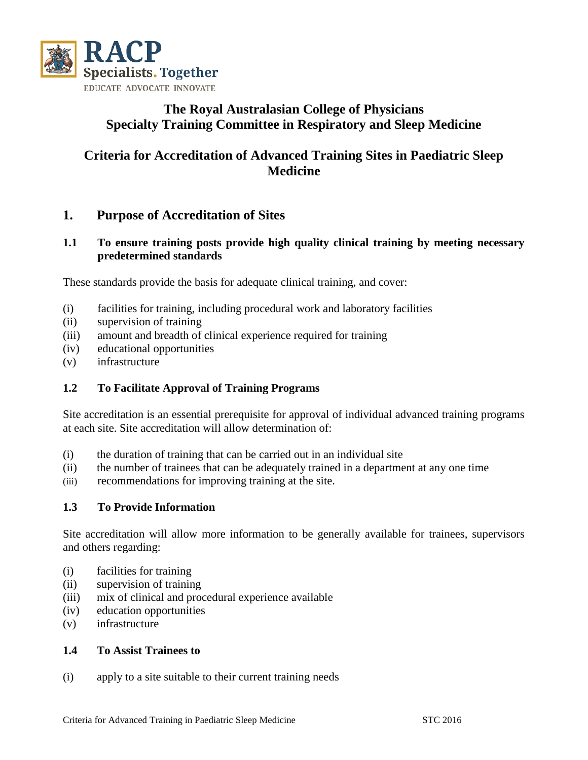

## **The Royal Australasian College of Physicians Specialty Training Committee in Respiratory and Sleep Medicine**

# **Criteria for Accreditation of Advanced Training Sites in Paediatric Sleep Medicine**

## **1. Purpose of Accreditation of Sites**

### **1.1 To ensure training posts provide high quality clinical training by meeting necessary predetermined standards**

These standards provide the basis for adequate clinical training, and cover:

- (i) facilities for training, including procedural work and laboratory facilities
- (ii) supervision of training
- (iii) amount and breadth of clinical experience required for training
- (iv) educational opportunities
- (v) infrastructure

### **1.2 To Facilitate Approval of Training Programs**

Site accreditation is an essential prerequisite for approval of individual advanced training programs at each site. Site accreditation will allow determination of:

- (i) the duration of training that can be carried out in an individual site
- (ii) the number of trainees that can be adequately trained in a department at any one time
- (iii) recommendations for improving training at the site.

### **1.3 To Provide Information**

Site accreditation will allow more information to be generally available for trainees, supervisors and others regarding:

- (i) facilities for training
- (ii) supervision of training
- (iii) mix of clinical and procedural experience available
- (iv) education opportunities
- (v) infrastructure

#### **1.4 To Assist Trainees to**

(i) apply to a site suitable to their current training needs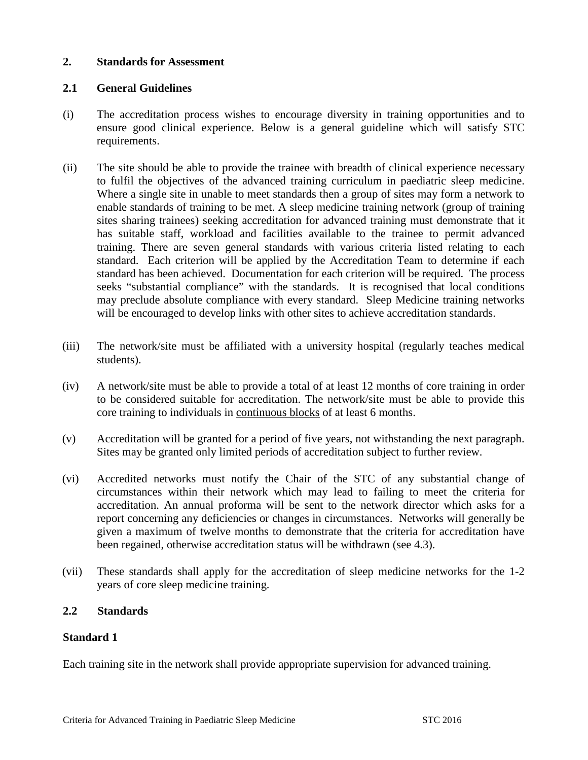#### **2. Standards for Assessment**

### **2.1 General Guidelines**

- (i) The accreditation process wishes to encourage diversity in training opportunities and to ensure good clinical experience. Below is a general guideline which will satisfy STC requirements.
- (ii) The site should be able to provide the trainee with breadth of clinical experience necessary to fulfil the objectives of the advanced training curriculum in paediatric sleep medicine. Where a single site in unable to meet standards then a group of sites may form a network to enable standards of training to be met. A sleep medicine training network (group of training sites sharing trainees) seeking accreditation for advanced training must demonstrate that it has suitable staff, workload and facilities available to the trainee to permit advanced training. There are seven general standards with various criteria listed relating to each standard. Each criterion will be applied by the Accreditation Team to determine if each standard has been achieved. Documentation for each criterion will be required. The process seeks "substantial compliance" with the standards. It is recognised that local conditions may preclude absolute compliance with every standard. Sleep Medicine training networks will be encouraged to develop links with other sites to achieve accreditation standards.
- (iii) The network/site must be affiliated with a university hospital (regularly teaches medical students).
- (iv) A network/site must be able to provide a total of at least 12 months of core training in order to be considered suitable for accreditation. The network/site must be able to provide this core training to individuals in continuous blocks of at least 6 months.
- (v) Accreditation will be granted for a period of five years, not withstanding the next paragraph. Sites may be granted only limited periods of accreditation subject to further review.
- (vi) Accredited networks must notify the Chair of the STC of any substantial change of circumstances within their network which may lead to failing to meet the criteria for accreditation. An annual proforma will be sent to the network director which asks for a report concerning any deficiencies or changes in circumstances. Networks will generally be given a maximum of twelve months to demonstrate that the criteria for accreditation have been regained, otherwise accreditation status will be withdrawn (see 4.3).
- (vii) These standards shall apply for the accreditation of sleep medicine networks for the 1-2 years of core sleep medicine training.

#### **2.2 Standards**

#### **Standard 1**

Each training site in the network shall provide appropriate supervision for advanced training.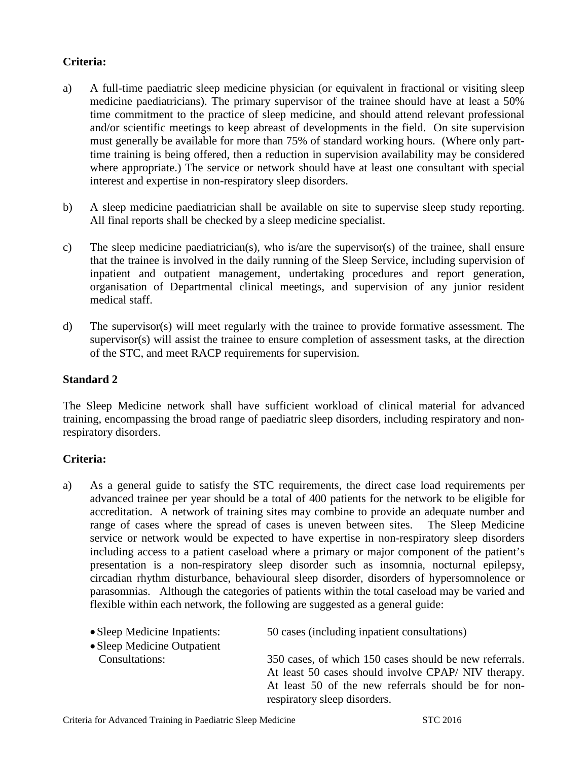### **Criteria:**

- a) A full-time paediatric sleep medicine physician (or equivalent in fractional or visiting sleep medicine paediatricians). The primary supervisor of the trainee should have at least a 50% time commitment to the practice of sleep medicine, and should attend relevant professional and/or scientific meetings to keep abreast of developments in the field. On site supervision must generally be available for more than 75% of standard working hours. (Where only parttime training is being offered, then a reduction in supervision availability may be considered where appropriate.) The service or network should have at least one consultant with special interest and expertise in non-respiratory sleep disorders.
- b) A sleep medicine paediatrician shall be available on site to supervise sleep study reporting. All final reports shall be checked by a sleep medicine specialist.
- c) The sleep medicine paediatrician(s), who is/are the supervisor(s) of the trainee, shall ensure that the trainee is involved in the daily running of the Sleep Service, including supervision of inpatient and outpatient management, undertaking procedures and report generation, organisation of Departmental clinical meetings, and supervision of any junior resident medical staff.
- d) The supervisor(s) will meet regularly with the trainee to provide formative assessment. The supervisor(s) will assist the trainee to ensure completion of assessment tasks, at the direction of the STC, and meet RACP requirements for supervision.

#### **Standard 2**

The Sleep Medicine network shall have sufficient workload of clinical material for advanced training, encompassing the broad range of paediatric sleep disorders, including respiratory and nonrespiratory disorders.

### **Criteria:**

a) As a general guide to satisfy the STC requirements, the direct case load requirements per advanced trainee per year should be a total of 400 patients for the network to be eligible for accreditation. A network of training sites may combine to provide an adequate number and range of cases where the spread of cases is uneven between sites. The Sleep Medicine service or network would be expected to have expertise in non-respiratory sleep disorders including access to a patient caseload where a primary or major component of the patient's presentation is a non-respiratory sleep disorder such as insomnia, nocturnal epilepsy, circadian rhythm disturbance, behavioural sleep disorder, disorders of hypersomnolence or parasomnias. Although the categories of patients within the total caseload may be varied and flexible within each network, the following are suggested as a general guide:

| • Sleep Medicine Inpatients:<br>• Sleep Medicine Outpatient | 50 cases (including inpatient consultations)                                                                 |
|-------------------------------------------------------------|--------------------------------------------------------------------------------------------------------------|
| Consultations:                                              | 350 cases, of which 150 cases should be new referrals.<br>At least 50 cases should involve CPAP/NIV therapy. |
|                                                             | At least 50 of the new referrals should be for non-<br>respiratory sleep disorders.                          |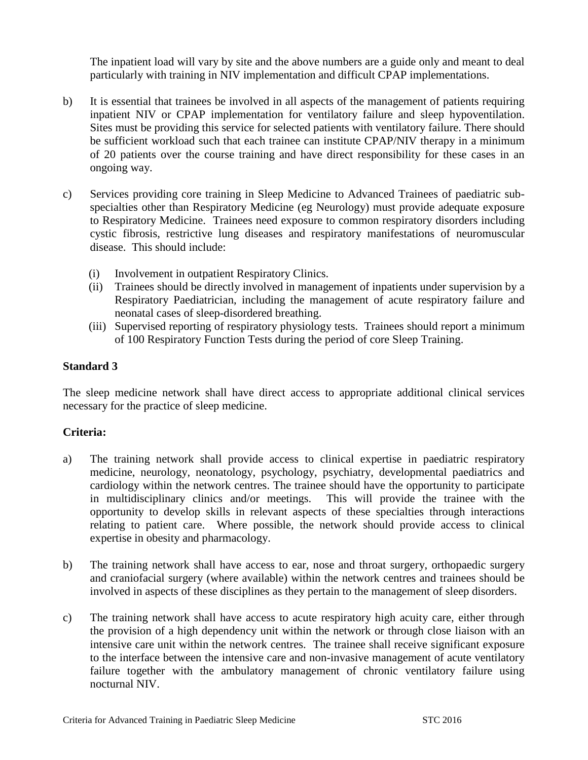The inpatient load will vary by site and the above numbers are a guide only and meant to deal particularly with training in NIV implementation and difficult CPAP implementations.

- b) It is essential that trainees be involved in all aspects of the management of patients requiring inpatient NIV or CPAP implementation for ventilatory failure and sleep hypoventilation. Sites must be providing this service for selected patients with ventilatory failure. There should be sufficient workload such that each trainee can institute CPAP/NIV therapy in a minimum of 20 patients over the course training and have direct responsibility for these cases in an ongoing way.
- c) Services providing core training in Sleep Medicine to Advanced Trainees of paediatric subspecialties other than Respiratory Medicine (eg Neurology) must provide adequate exposure to Respiratory Medicine. Trainees need exposure to common respiratory disorders including cystic fibrosis, restrictive lung diseases and respiratory manifestations of neuromuscular disease. This should include:
	- (i) Involvement in outpatient Respiratory Clinics.
	- (ii) Trainees should be directly involved in management of inpatients under supervision by a Respiratory Paediatrician, including the management of acute respiratory failure and neonatal cases of sleep-disordered breathing.
	- (iii) Supervised reporting of respiratory physiology tests. Trainees should report a minimum of 100 Respiratory Function Tests during the period of core Sleep Training.

#### **Standard 3**

The sleep medicine network shall have direct access to appropriate additional clinical services necessary for the practice of sleep medicine.

### **Criteria:**

- a) The training network shall provide access to clinical expertise in paediatric respiratory medicine, neurology, neonatology, psychology, psychiatry, developmental paediatrics and cardiology within the network centres. The trainee should have the opportunity to participate in multidisciplinary clinics and/or meetings. This will provide the trainee with the opportunity to develop skills in relevant aspects of these specialties through interactions relating to patient care. Where possible, the network should provide access to clinical expertise in obesity and pharmacology.
- b) The training network shall have access to ear, nose and throat surgery, orthopaedic surgery and craniofacial surgery (where available) within the network centres and trainees should be involved in aspects of these disciplines as they pertain to the management of sleep disorders.
- c) The training network shall have access to acute respiratory high acuity care, either through the provision of a high dependency unit within the network or through close liaison with an intensive care unit within the network centres. The trainee shall receive significant exposure to the interface between the intensive care and non-invasive management of acute ventilatory failure together with the ambulatory management of chronic ventilatory failure using nocturnal NIV.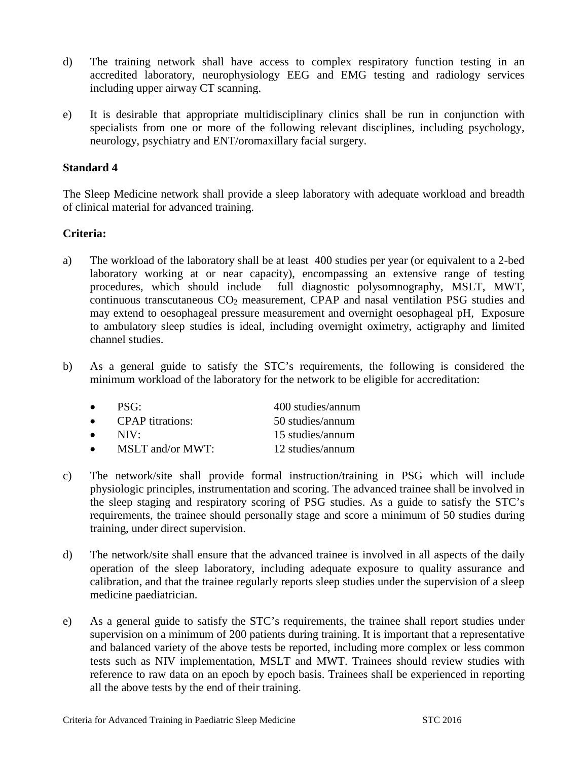- d) The training network shall have access to complex respiratory function testing in an accredited laboratory, neurophysiology EEG and EMG testing and radiology services including upper airway CT scanning.
- e) It is desirable that appropriate multidisciplinary clinics shall be run in conjunction with specialists from one or more of the following relevant disciplines, including psychology, neurology, psychiatry and ENT/oromaxillary facial surgery.

### **Standard 4**

The Sleep Medicine network shall provide a sleep laboratory with adequate workload and breadth of clinical material for advanced training.

#### **Criteria:**

- a) The workload of the laboratory shall be at least 400 studies per year (or equivalent to a 2-bed laboratory working at or near capacity), encompassing an extensive range of testing procedures, which should include full diagnostic polysomnography, MSLT, MWT, continuous transcutaneous  $CO<sub>2</sub>$  measurement, CPAP and nasal ventilation PSG studies and may extend to oesophageal pressure measurement and overnight oesophageal pH, Exposure to ambulatory sleep studies is ideal, including overnight oximetry, actigraphy and limited channel studies.
- b) As a general guide to satisfy the STC's requirements, the following is considered the minimum workload of the laboratory for the network to be eligible for accreditation:

| $\bullet$ | PSG:                    | 400 studies/annum |
|-----------|-------------------------|-------------------|
| $\bullet$ | <b>CPAP</b> titrations: | 50 studies/annum  |
| $\bullet$ | $NIV+$                  | 15 studies/annum  |
| $\bullet$ | $MSLT$ and/or $MWT:$    | 12 studies/annum  |

- c) The network/site shall provide formal instruction/training in PSG which will include physiologic principles, instrumentation and scoring. The advanced trainee shall be involved in the sleep staging and respiratory scoring of PSG studies. As a guide to satisfy the STC's requirements, the trainee should personally stage and score a minimum of 50 studies during training, under direct supervision.
- d) The network/site shall ensure that the advanced trainee is involved in all aspects of the daily operation of the sleep laboratory, including adequate exposure to quality assurance and calibration, and that the trainee regularly reports sleep studies under the supervision of a sleep medicine paediatrician.
- e) As a general guide to satisfy the STC's requirements, the trainee shall report studies under supervision on a minimum of 200 patients during training. It is important that a representative and balanced variety of the above tests be reported, including more complex or less common tests such as NIV implementation, MSLT and MWT. Trainees should review studies with reference to raw data on an epoch by epoch basis. Trainees shall be experienced in reporting all the above tests by the end of their training.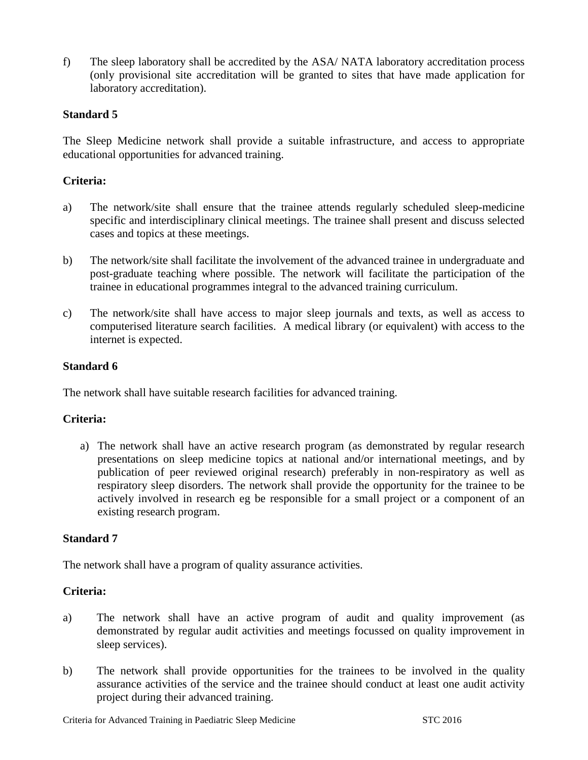f) The sleep laboratory shall be accredited by the ASA/ NATA laboratory accreditation process (only provisional site accreditation will be granted to sites that have made application for laboratory accreditation).

### **Standard 5**

The Sleep Medicine network shall provide a suitable infrastructure, and access to appropriate educational opportunities for advanced training.

### **Criteria:**

- a) The network/site shall ensure that the trainee attends regularly scheduled sleep-medicine specific and interdisciplinary clinical meetings. The trainee shall present and discuss selected cases and topics at these meetings.
- b) The network/site shall facilitate the involvement of the advanced trainee in undergraduate and post-graduate teaching where possible. The network will facilitate the participation of the trainee in educational programmes integral to the advanced training curriculum.
- c) The network/site shall have access to major sleep journals and texts, as well as access to computerised literature search facilities. A medical library (or equivalent) with access to the internet is expected.

#### **Standard 6**

The network shall have suitable research facilities for advanced training.

### **Criteria:**

a) The network shall have an active research program (as demonstrated by regular research presentations on sleep medicine topics at national and/or international meetings, and by publication of peer reviewed original research) preferably in non-respiratory as well as respiratory sleep disorders. The network shall provide the opportunity for the trainee to be actively involved in research eg be responsible for a small project or a component of an existing research program.

#### **Standard 7**

The network shall have a program of quality assurance activities.

#### **Criteria:**

- a) The network shall have an active program of audit and quality improvement (as demonstrated by regular audit activities and meetings focussed on quality improvement in sleep services).
- b) The network shall provide opportunities for the trainees to be involved in the quality assurance activities of the service and the trainee should conduct at least one audit activity project during their advanced training.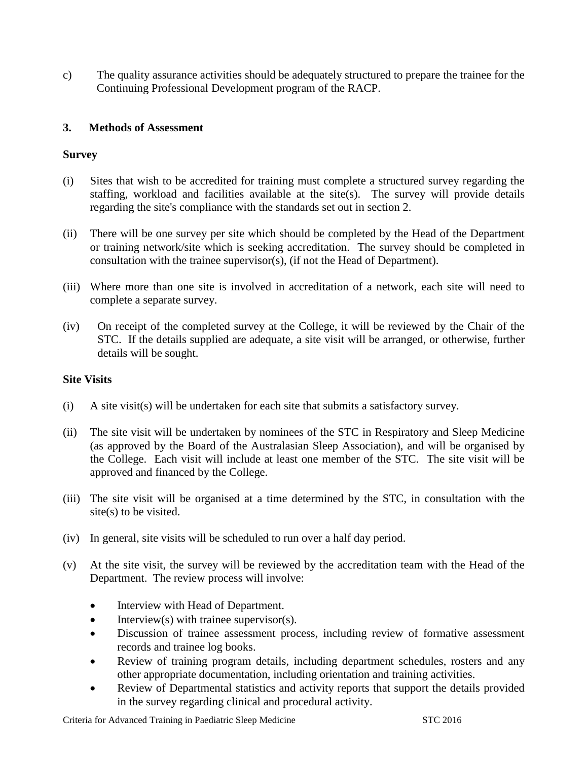c) The quality assurance activities should be adequately structured to prepare the trainee for the Continuing Professional Development program of the RACP.

### **3. Methods of Assessment**

### **Survey**

- (i) Sites that wish to be accredited for training must complete a structured survey regarding the staffing, workload and facilities available at the site(s). The survey will provide details regarding the site's compliance with the standards set out in section 2.
- (ii) There will be one survey per site which should be completed by the Head of the Department or training network/site which is seeking accreditation. The survey should be completed in consultation with the trainee supervisor(s), (if not the Head of Department).
- (iii) Where more than one site is involved in accreditation of a network, each site will need to complete a separate survey.
- (iv) On receipt of the completed survey at the College, it will be reviewed by the Chair of the STC. If the details supplied are adequate, a site visit will be arranged, or otherwise, further details will be sought.

### **Site Visits**

- (i) A site visit(s) will be undertaken for each site that submits a satisfactory survey.
- (ii) The site visit will be undertaken by nominees of the STC in Respiratory and Sleep Medicine (as approved by the Board of the Australasian Sleep Association), and will be organised by the College. Each visit will include at least one member of the STC. The site visit will be approved and financed by the College.
- (iii) The site visit will be organised at a time determined by the STC, in consultation with the site(s) to be visited.
- (iv) In general, site visits will be scheduled to run over a half day period.
- (v) At the site visit, the survey will be reviewed by the accreditation team with the Head of the Department. The review process will involve:
	- Interview with Head of Department.
	- Interview(s) with trainee supervisor(s).
	- Discussion of trainee assessment process, including review of formative assessment records and trainee log books.
	- Review of training program details, including department schedules, rosters and any other appropriate documentation, including orientation and training activities.
	- Review of Departmental statistics and activity reports that support the details provided in the survey regarding clinical and procedural activity.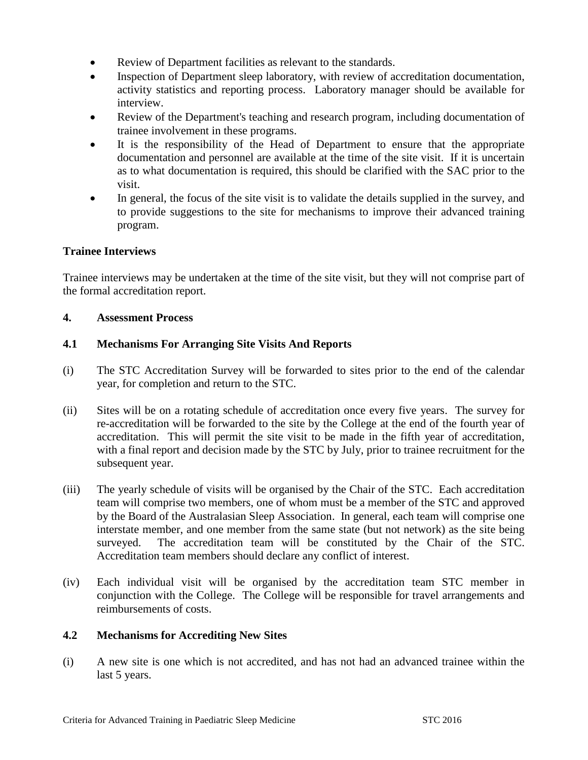- Review of Department facilities as relevant to the standards.
- Inspection of Department sleep laboratory, with review of accreditation documentation, activity statistics and reporting process. Laboratory manager should be available for interview.
- Review of the Department's teaching and research program, including documentation of trainee involvement in these programs.
- It is the responsibility of the Head of Department to ensure that the appropriate documentation and personnel are available at the time of the site visit. If it is uncertain as to what documentation is required, this should be clarified with the SAC prior to the visit.
- In general, the focus of the site visit is to validate the details supplied in the survey, and to provide suggestions to the site for mechanisms to improve their advanced training program.

### **Trainee Interviews**

Trainee interviews may be undertaken at the time of the site visit, but they will not comprise part of the formal accreditation report.

### **4. Assessment Process**

### **4.1 Mechanisms For Arranging Site Visits And Reports**

- (i) The STC Accreditation Survey will be forwarded to sites prior to the end of the calendar year, for completion and return to the STC.
- (ii) Sites will be on a rotating schedule of accreditation once every five years. The survey for re-accreditation will be forwarded to the site by the College at the end of the fourth year of accreditation. This will permit the site visit to be made in the fifth year of accreditation, with a final report and decision made by the STC by July, prior to trainee recruitment for the subsequent year.
- (iii) The yearly schedule of visits will be organised by the Chair of the STC. Each accreditation team will comprise two members, one of whom must be a member of the STC and approved by the Board of the Australasian Sleep Association. In general, each team will comprise one interstate member, and one member from the same state (but not network) as the site being surveyed. The accreditation team will be constituted by the Chair of the STC. Accreditation team members should declare any conflict of interest.
- (iv) Each individual visit will be organised by the accreditation team STC member in conjunction with the College. The College will be responsible for travel arrangements and reimbursements of costs.

### **4.2 Mechanisms for Accrediting New Sites**

(i) A new site is one which is not accredited, and has not had an advanced trainee within the last 5 years.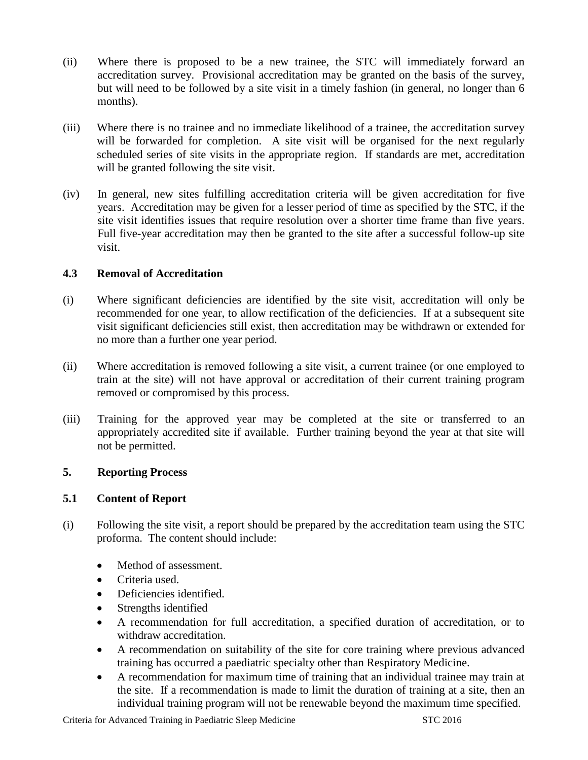- (ii) Where there is proposed to be a new trainee, the STC will immediately forward an accreditation survey. Provisional accreditation may be granted on the basis of the survey, but will need to be followed by a site visit in a timely fashion (in general, no longer than 6 months).
- (iii) Where there is no trainee and no immediate likelihood of a trainee, the accreditation survey will be forwarded for completion. A site visit will be organised for the next regularly scheduled series of site visits in the appropriate region. If standards are met, accreditation will be granted following the site visit.
- (iv) In general, new sites fulfilling accreditation criteria will be given accreditation for five years. Accreditation may be given for a lesser period of time as specified by the STC, if the site visit identifies issues that require resolution over a shorter time frame than five years. Full five-year accreditation may then be granted to the site after a successful follow-up site visit.

### **4.3 Removal of Accreditation**

- (i) Where significant deficiencies are identified by the site visit, accreditation will only be recommended for one year, to allow rectification of the deficiencies. If at a subsequent site visit significant deficiencies still exist, then accreditation may be withdrawn or extended for no more than a further one year period.
- (ii) Where accreditation is removed following a site visit, a current trainee (or one employed to train at the site) will not have approval or accreditation of their current training program removed or compromised by this process.
- (iii) Training for the approved year may be completed at the site or transferred to an appropriately accredited site if available. Further training beyond the year at that site will not be permitted.

### **5. Reporting Process**

### **5.1 Content of Report**

- (i) Following the site visit, a report should be prepared by the accreditation team using the STC proforma. The content should include:
	- Method of assessment.
	- Criteria used.
	- Deficiencies identified.
	- Strengths identified
	- A recommendation for full accreditation, a specified duration of accreditation, or to withdraw accreditation.
	- A recommendation on suitability of the site for core training where previous advanced training has occurred a paediatric specialty other than Respiratory Medicine.
	- A recommendation for maximum time of training that an individual trainee may train at the site. If a recommendation is made to limit the duration of training at a site, then an individual training program will not be renewable beyond the maximum time specified.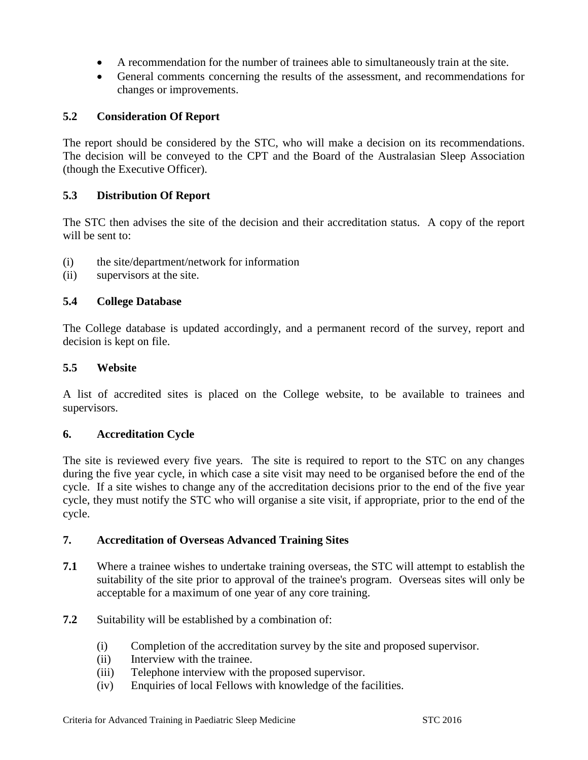- A recommendation for the number of trainees able to simultaneously train at the site.
- General comments concerning the results of the assessment, and recommendations for changes or improvements.

### **5.2 Consideration Of Report**

The report should be considered by the STC, who will make a decision on its recommendations. The decision will be conveyed to the CPT and the Board of the Australasian Sleep Association (though the Executive Officer).

### **5.3 Distribution Of Report**

The STC then advises the site of the decision and their accreditation status. A copy of the report will be sent to:

- (i) the site/department/network for information
- (ii) supervisors at the site.

### **5.4 College Database**

The College database is updated accordingly, and a permanent record of the survey, report and decision is kept on file.

### **5.5 Website**

A list of accredited sites is placed on the College website, to be available to trainees and supervisors.

### **6. Accreditation Cycle**

The site is reviewed every five years. The site is required to report to the STC on any changes during the five year cycle, in which case a site visit may need to be organised before the end of the cycle. If a site wishes to change any of the accreditation decisions prior to the end of the five year cycle, they must notify the STC who will organise a site visit, if appropriate, prior to the end of the cycle.

### **7. Accreditation of Overseas Advanced Training Sites**

- **7.1** Where a trainee wishes to undertake training overseas, the STC will attempt to establish the suitability of the site prior to approval of the trainee's program. Overseas sites will only be acceptable for a maximum of one year of any core training.
- **7.2** Suitability will be established by a combination of:
	- (i) Completion of the accreditation survey by the site and proposed supervisor.
	- (ii) Interview with the trainee.
	- (iii) Telephone interview with the proposed supervisor.
	- (iv) Enquiries of local Fellows with knowledge of the facilities.